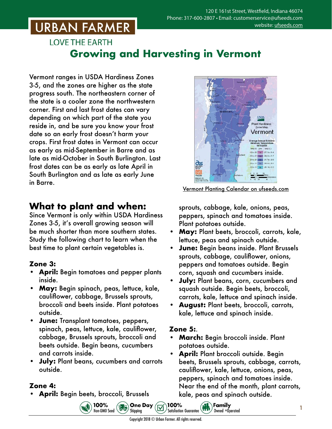## **URBAN FARMER**

### **LOVE THE EARTH Growing and Harvesting in Vermont**

Vermont ranges in USDA Hardiness Zones 3-5, and the zones are higher as the state progress south. The northeastern corner of the state is a cooler zone the northwestern corner. First and last frost dates can vary depending on which part of the state you reside in, and be sure you know your frost date so an early frost doesn't harm your crops. First frost dates in Vermont can occur as early as mid-September in Barre and as late as mid-October in South Burlington. Last frost dates can be as early as late April in South Burlington and as late as early June in Barre.

### **What to plant and when:**

Since Vermont is only within USDA Hardiness Zones 3-5, it's overall growing season will be much shorter than more southern states. Study the following chart to learn when the best time to plant certain vegetables is.

#### **Zone 3:**

- **• April:** Begin tomatoes and pepper plants inside.
- **• May:** Begin spinach, peas, lettuce, kale, cauliflower, cabbage, Brussels sprouts, broccoli and beets inside. Plant potatoes outside.
- **• June:** Transplant tomatoes, peppers, spinach, peas, lettuce, kale, cauliflower, cabbage, Brussels sprouts, broccoli and beets outside. Begin beans, cucumbers and carrots inside.
- **• July:** Plant beans, cucumbers and carrots outside.

100%

Non-GMO Seed

#### **Zone 4:**

**• April:** Begin beets, broccoli, Brussels



Vermont Planting Calendar o[n ufseeds.com](https://www.ufseeds.com/learning/planting-schedules/vermont-vegetable-planting-calendar/)

sprouts, cabbage, kale, onions, peas, peppers, spinach and tomatoes inside. Plant potatoes outside.

- **• May:** Plant beets, broccoli, carrots, kale, lettuce, peas and spinach outside.
- **• June:** Begin beans inside. Plant Brussels sprouts, cabbage, cauliflower, onions, peppers and tomatoes outside. Begin corn, squash and cucumbers inside.
- **• July:** Plant beans, corn, cucumbers and squash outside. Begin beets, broccoli, carrots, kale, lettuce and spinach inside.
- **• August:** Plant beets, broccoli, carrots, kale, lettuce and spinach inside.

#### **Zone 5:**.

**• March:** Begin broccoli inside. Plant potatoes outside.

 $\left(\begin{matrix} \mathbf{ii} \\ \mathbf{iii} \\ \mathbf{iv} \end{matrix}\right)$  Family

Owned +Operated

**• April:** Plant broccoli outside. Begin beets, Brussels sprouts, cabbage, carrots, cauliflower, kale, lettuce, onions, peas, peppers, spinach and tomatoes inside. Near the end of the month, plant carrots, kale, peas and spinach outside.

1

100%

**Satisfaction Guarantee** 

**B.** One Day

Shipping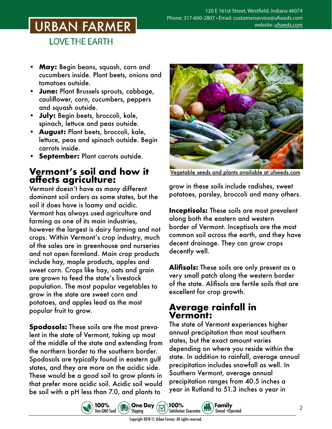# **URBAN FARMER**

**LOVE THE EARTH** 

- **• May:** Begin beans, squash, corn and cucumbers inside. Plant beets, onions and tomatoes outside.
- **• June:** Plant Brussels sprouts, cabbage, cauliflower, corn, cucumbers, peppers and squash outside.
- **• July:** Begin beets, broccoli, kale, spinach, lettuce and peas outside.
- **• August:** Plant beets, broccoli, kale, lettuce, peas and spinach outside. Begin carrots inside.
- **• September:** Plant carrots outside.

#### **Vermont's soil and how it affects agriculture:**

Vermont doesn't have as many different dominant soil orders as some states, but the soil it does have is loamy and acidic. Vermont has always used agriculture and farming as one of its main industries, however the largest is dairy farming and not crops. Within Vermont's crop industry, much of the sales are in greenhouse and nurseries and not open farmland. Main crop products include hay, maple products, apples and sweet corn. Crops like hay, oats and grain are grown to feed the state's livestock population. The most popular vegetables to grow in the state are sweet corn and potatoes, and apples lead as the most popular fruit to grow.

**Spodosols:** These soils are the most prevalent in the state of Vermont, taking up most of the middle of the state and extending from the northern border to the southern border. Spodosols are typically found in eastern gulf states, and they are more on the acidic side. These would be a good soil to grow plants in that prefer more acidic soil. Acidic soil would be soil with a pH less than 7.0, and plants to



Vegetable seeds and plants [available at ufseeds.com](https://www.ufseeds.com/vegetable-seeds-and-plants/)

grow in these soils include radishes, sweet potatoes, parsley, broccoli and many others.

**Inceptisols:** These soils are most prevalent along both the eastern and western border of Vermont. Inceptisols are the most common soil across the earth, and they have decent drainage. They can grow crops decently well.

**Alifisols:** These soils are only present as a very small patch along the western border of the state. Alifisols are fertile soils that are excellent for crop growth.

#### **Average rainfall in Vermont:**

The state of Vermont experiences higher annual precipitation than most southern states, but the exact amount varies depending on where you reside within the state. In addition to rainfall, average annual precipitation includes snowfall as well. In Southern Vermont, average annual precipitation ranges from 40.5 inches a year in Rutland to 51.3 inches a year in